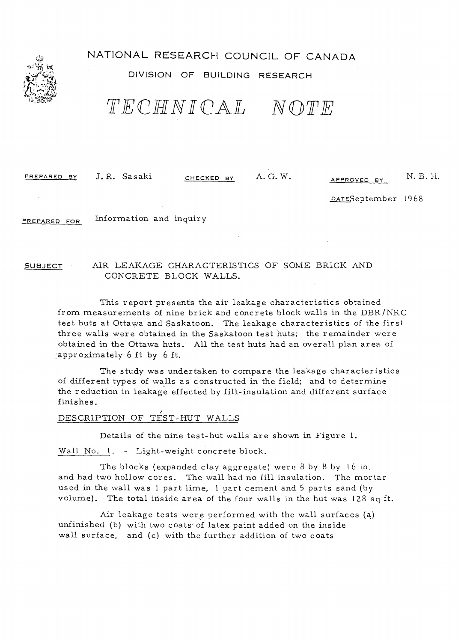

# NATIONAL RESEARCH COUNCIL OF CANADA

## DIVISION OF BUILDING RESEARCH

'f lEClHI N][ CAlL *NOTJE* 

PREPARED BY J.R. Sasaki CHECKED BY A.G.W. APPROVED BY N.B.H.

DATESeptember 1968

PREPARED FOR Information and inquiry

## SUBJECT AIR LEAKAGE CHARACTERISTICS OF SOME BRICK AND CONCRETE BLOCK WALLS.

This report presents the air leakage characteristics obtained from measurements of nine brick and concrete block walls in the DBR/NRC test huts at Ottawa and Saskatoon. The leakage characteristics of the first three walls were obtained in the Saskatoon test huts; the remainder were obtained in the Ottawa huts. All the test huts had an overall plan area of :approximately 6 it by 6 ft.

The study was undertaken to compare the leakage tharacteristics of different types of walls as constructed in the field; and to determine the reduction in leakage effected by fill-insulation and different surface finishes.

# DESCRIPTION OF TEST-HUT WALLS

Details of the nine test-hut walls are shown in Figure 1.

Wall No. 1. - Light-weight concrete block.

The blocks (expanded clay aggregate) were  $8$  by  $8$  by  $16$  in. and had two hollow cores. The wall had no fill insulation. The mortar used in the wall was  $l$  part lime,  $l$  part cement and 5 parts sand (by volume). The total inside area of the four walls in the hut was 128 sq ft.

Air leakage tests were performed with the wall surfaces (a) unfinished (b) with two coats of latex paint added on the inside wall surface, and (c) with the further addition of two coats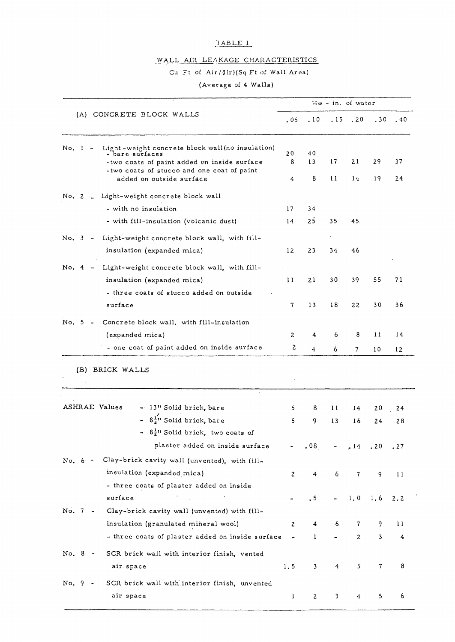## 'lABLE I

## WALL AlR LEAKAGE CHARACTERISTICS

## Cu Ft of Air/ $(\text{Irr})(Sq$  Ft of Wall Area)

## (Average of 4 Walls)

| (A) CONCRETE BLOCK WALLS                                                                                                                                                  | Hw - in, of water |                  |                  |              |     |               |
|---------------------------------------------------------------------------------------------------------------------------------------------------------------------------|-------------------|------------------|------------------|--------------|-----|---------------|
|                                                                                                                                                                           | .05               | .10              | .15              | .20          | .30 | .40           |
| Light-weight concrete block wall (no insulation)<br>No. 1<br>– bare surfaces<br>-two coats of paint added on inside surface<br>-two coats of stucco and one coat of paint | 20<br>8           | 40<br>13         | 17               | 21           | 29  | 37            |
| added on outside surface                                                                                                                                                  | 4                 | 8.               | 11               | 14           | 19  | 24            |
| No. 2 _ Light-weight concrete block wall                                                                                                                                  |                   |                  |                  |              |     |               |
| - with no insulation                                                                                                                                                      | 17                | 34               |                  |              |     |               |
| - with fill-insulation (volcanic dust)                                                                                                                                    | 14                | 25               | 35               | 45.          |     |               |
| Light-weight concrete block wall, with fill-<br>No. 3 -                                                                                                                   |                   |                  |                  |              |     |               |
| insulation (expanded mica)                                                                                                                                                | 12                | 23               | 34               | 46           |     |               |
| No. $4 -$<br>Light-weight concrete block wall, with fill-                                                                                                                 |                   |                  |                  |              |     |               |
| insulation (expanded mica)                                                                                                                                                | 11                | 21               | 30               | 39           | 55  | 71            |
| - three coats of stucco added on outside                                                                                                                                  |                   |                  |                  |              |     |               |
| surface                                                                                                                                                                   | 7                 | 13               | 18               | 22           | 30  | 36            |
| No. 5<br>Concrete block wall, with fill-insulation                                                                                                                        |                   |                  |                  |              |     |               |
| (expanded mica)                                                                                                                                                           | 2                 | 4                | 6                | 8            | 11  | 14            |
| - one coat of paint added on inside surface                                                                                                                               | 2                 | 4                | 6                | 7            | 10  | 12            |
| (B) BRICK WALLS                                                                                                                                                           |                   |                  |                  |              |     |               |
| ASHRAE Values<br>- 13" Solid brick, bare                                                                                                                                  | 5                 | 8                | 11               | 14           | 20  | 24            |
| - $8\frac{1}{2}$ <sup>1</sup> Solid brick, bare<br>- $8\frac{1}{2}$ " Solid brick, two coats of                                                                           | 5                 | 9                | 13               | 16           | 24  | 28            |
| plaster added on inside surface                                                                                                                                           |                   | .08 <sub>1</sub> |                  | .14          | .20 | .27           |
| Clay-brick cavity wall (unvented), with fill-<br>No. 6 -                                                                                                                  |                   |                  |                  |              |     |               |
| insulation (expanded mica)                                                                                                                                                | $\mathbf{z}$      | 4                | 6                | $\mathbf{7}$ | 9   | 11            |
| - three coats of plaster added on inside                                                                                                                                  |                   |                  |                  |              |     |               |
| surface                                                                                                                                                                   |                   | $\cdot$ 5        |                  | 1.0          | 1.6 | 2.2           |
| No. 7 -<br>Clay-brick cavity wall (unvented) with fill-                                                                                                                   |                   |                  |                  |              |     |               |
| insulation (granulated mineral wool)                                                                                                                                      | 2                 | 4                | 6                | 7            | 9   | $\mathbf{11}$ |
| - three coats of plaster added on inside surface                                                                                                                          |                   | 1                |                  | $\mathbf{2}$ | 3   | 4             |
| No. 8 -<br>SCR brick wall with interior finish, vented                                                                                                                    |                   |                  |                  |              |     |               |
| air space                                                                                                                                                                 | 1.5               | 3                | $\boldsymbol{4}$ | 5            | 7   | 8             |
| No. 9<br>SCR brick wall with interior finish, unvented                                                                                                                    |                   |                  |                  |              |     |               |
| air space                                                                                                                                                                 | $\mathbf{I}$      | $\mathbf{2}$     | 3                | 4            | 5   | 6             |
|                                                                                                                                                                           |                   |                  |                  |              |     |               |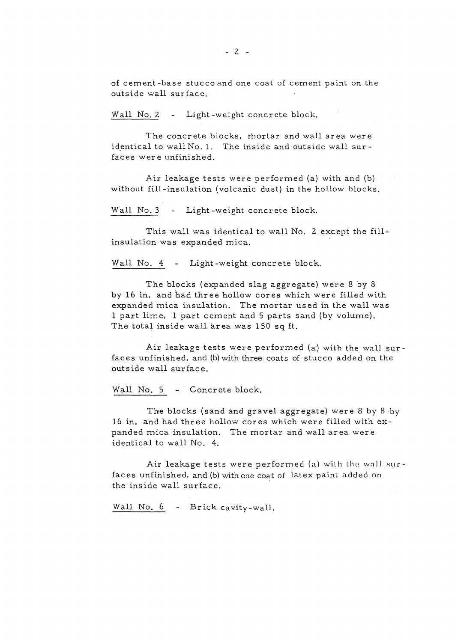of cement -base stucco and one coat of cement paint on the outside wall surface.

Wall No. 2 - Light-weight concrete block.

The concrete blocks, mortar and wall area were identical to wall No. 1. The inside and outside wall surfaces were unfinished.

Air leakage tests were performed (a) with and (b) without fill-insulation (volcanic dust) in the hollow blocks.

Wall No. 3 - Light-weight concrete block.

This wall was identical to wall No. 2 except the fillinsulation was expanded mica.

Wall No. 4 - Light-weight concrete block.

The blocks (expanded slag aggregate) were 8 by 8 by 16 in. and had three hollow cores which were filled with expanded mica insulation. The mortar used in the wall was 1 part lime, 1 part cement and 5 parts sand (by volume). The total inside wall area was 150 sq ft.

Air leakage tests were performed  $(a)$  with the wall surfaces unfinished, and (b) with three coats of stucco added on the outside wall surface.

Wall No. 5 - Concrete block.

The blocks {sand and gravel aggregate} were 8 by 8 ·by 16 in. and had three hollow cores which were filled with expanded mica insulation. The mortar and wall area were identical to wall No. 4.

Air leakage tests were performed (a) with the wall surfaces unfinished, and (b) with one coat of latex paint added on the inside wall surface.

Wall No. 6 - Brick cavity-wall.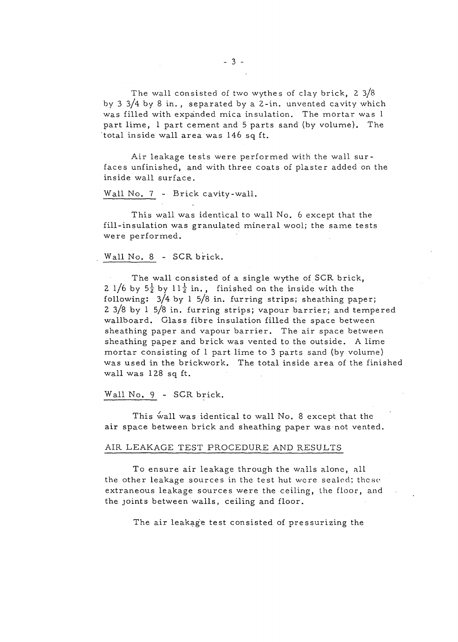The wall consisted of two wythes of clay brick,  $2 \frac{3}{8}$ by 3 3/4 by 8 in., separated by a 2 -in. unvented cavity which was filled with expanded mica insulation. The mortar was 1 part lime, 1 part cement and S parts sand (by volume). The total inside wall area was 146 sq ft.

Air leakage tests were performed with the wall surfaces unfinished, and with three coats of plaster added on the inside wall surface.

Wall No. 7 - Brick cavity-wall.

This wall was identical to wall No. 6 except that the fill-insulation was granulated mineral wool; the same tests were performed.

#### Wall No. 8 - SCR brick.

The wall consisted of a single wythe of SCR brick, 2 1/6 by  $5\frac{1}{2}$  by 11 $\frac{1}{2}$  in., finished on the inside with the following: 3/4 by 1 5/8 in. furring strips; sheathing paper; 2 3/8 by 1 5/8 in. furring strips; vapour barrier; and tempered wallboard. Glass fibre insulation filled the space between sheathing paper and vapour barrier. The air space between sheathing paper and brick was vented to the outside. A lime mortar consisting of 1 part lime to 3 parts sand (by volume) was used in the brickwork. The total inside area of the finished wall was 128 sq ft.

#### Wall No. 9 - SCR brick.

This wall was identical to wall No. 8 except that the air space between brick and sheathing paper was not vented.

## AIR LEAKAGE TEST PROCEDURE AND RESULTS

To ensure air leakage through the walls alone, all the other leakage sources in the test hut were sealed; these extraneous leakage sources were the ceiling, the floor, and the Joints between walls, ceiling and floor.

The air leakage test consisted of pressurizing the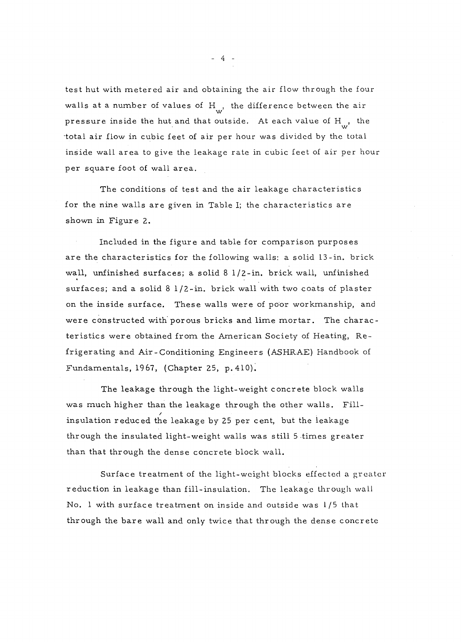test hut with metered air and obtaining the air flow through the four walls at a number of values of  $H_{w}$ , the difference between the air pressure inside the hut and that outside. At each value of  $H_{\mu\nu}$ , the total air flow in cubic feet of air per hour was divided by the total inside wall area to give the leakage rate in cubic feet of air per hour per square foot of wall area.

The conditions of test and the air leakage characteristics for the nine walls are given in Table I; the characteristics are shown in Figure 2.

Included in the figure and table for comparison purposes are the characteristics for the following walls: a solid 13-in. brick wall, unfinished surfaces; a solid 8 l/2-in. brick wall, unfinished surfaces; and a solid 8 1/2 -in. brick wall with two coats of plaster on the inside surface. These walls were of poor workmanship, and were constructed with porous bricks and lime mortar. The characteristics were obtained from the American Society of Heating, Refrigerating and Air - Conditioning Engineer s (ASHRAE) Handbook of Fundamentals, 1967, (Chapter 25, p. 410).

The leakage through the light-weight concrete block walls was much higher than the leakage through the other walls. Fill insulation reduced the leakage by 25 per cent, but the leakage through the insulated light-weight walls was still 5 times greater than that through the dense concrete block wall.

Surface treatment of the light-weight blocks effected a greater reduction in leakage than fill-insulation. The leakage lhrough wall No. 1 with surface treatment on inside and outside was 1/5 that through the bare wall and only twice that through the dense concrete

- 4 -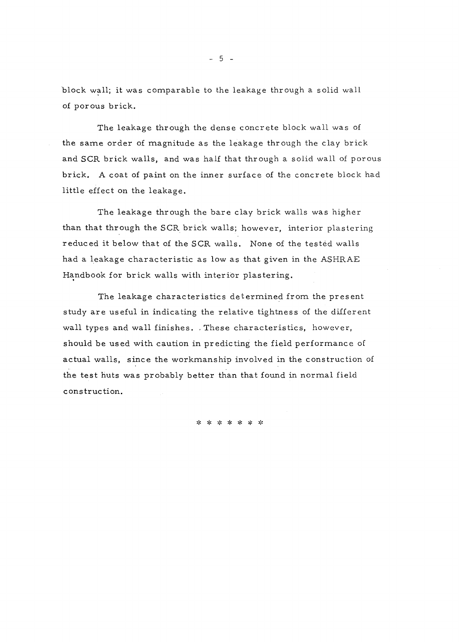block wall; it was comparable to the leakage through a solid wall of por ous brick.

The leakage through the dense concrete block wall was of the same order of magnitude as the leakage through the clay brick and SCR brick walls, and was half that through a solid wall of porous brick. A coat of paint on the inner surface of the concrete block had little effect on the leakage.

The leakage through the bare clay brick walls was higher than that through the SCR brick walls; however, interior plastering reduced it below that of the SCR walls. None of the tested walls had a leakage characteristic as low as that given in the ASHRAE Handbook for brick walls with interior plastering.

The leakage characteristics determined from the present study are useful in indicating the relative tightness of the different wall types and wall finishes. . These characteristics, however, should be used with caution in predicting the field performance of actual walls, since the workmanship involved in the construction of the test huts was probably better than that found in normal field construction.

\* \* \* \* \* \* \*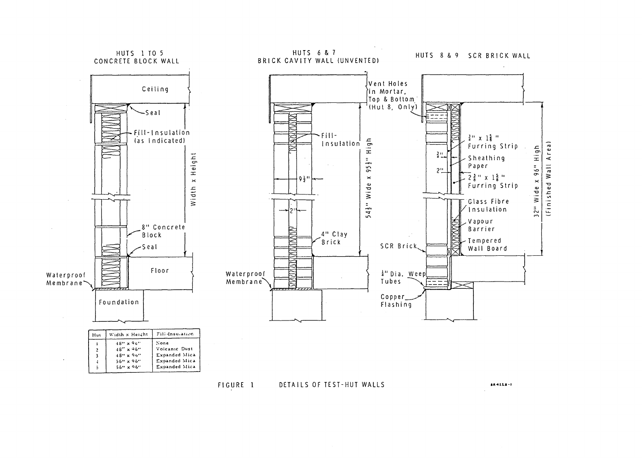

DETAILS OF TEST-HUT WALLS FIGURE 1

 $8A - 22B - 1$